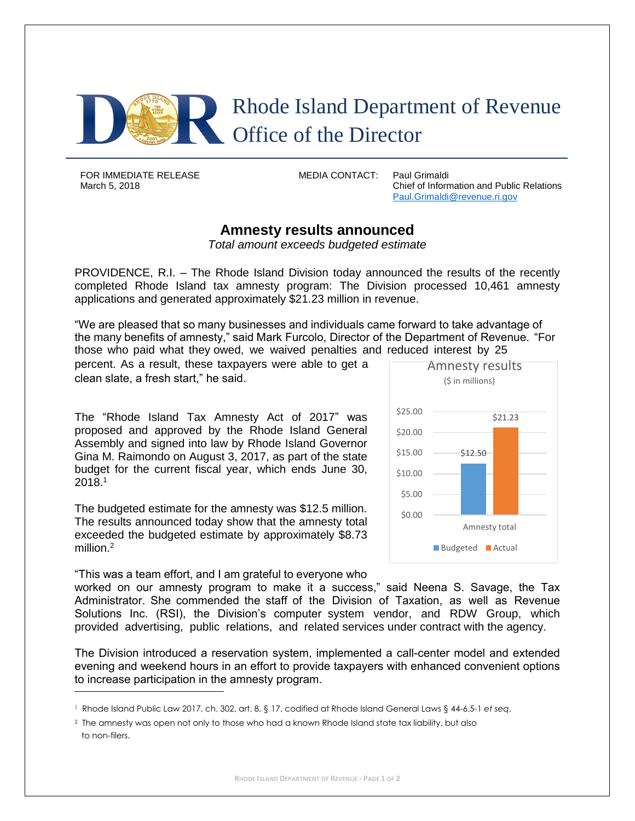

FOR IMMEDIATE RELEASE MEDIA CONTACT: Paul Grimaldi

March 5, 2018 Chief of Information and Public Relations [Paul.Grimaldi@revenue.ri.gov](mailto:Paul.Grimaldi@revenue.ri.gov)

## **Amnesty results announced**

*Total amount exceeds budgeted estimate* 

PROVIDENCE, R.I. – The Rhode Island Division today announced the results of the recently completed Rhode Island tax amnesty program: The Division processed 10,461 amnesty applications and generated approximately \$21.23 million in revenue.

"We are pleased that so many businesses and individuals came forward to take advantage of the many benefits of amnesty," said Mark Furcolo, Director of the Department of Revenue. "For those who paid what they owed, we waived penalties and reduced interest by 25

percent. As a result, these taxpayers were able to get a **Amnesty results** clean slate, a fresh start," he said.  $\log_2 2$  is in millions)

The "Rhode Island Tax Amnesty Act of 2017" was proposed and approved by the Rhode Island General Assembly and signed into law by Rhode Island Governor Gina M. Raimondo on August 3, 2017, as part of the state budget for the current fiscal year, which ends June 30,  $2018.1$ 

The budgeted estimate for the amnesty was \$12.5 million. The results announced today show that the amnesty total exceeded the budgeted estimate by approximately \$8.73 million.<sup>2</sup>

"This was a team effort, and I am grateful to everyone who

\$12.50 \$21.23 \$0.00 \$5.00 \$10.00 \$15.00 \$20.00 \$25.00 Amnesty total Budgeted **Actual** 

worked on our amnesty program to make it a success," said Neena S. Savage, the Tax Administrator. She commended the staff of the Division of Taxation, as well as Revenue Solutions Inc. (RSI), the Division's computer system vendor, and RDW Group, which provided advertising, public relations, and related services under contract with the agency.

The Division introduced a reservation system, implemented a call-center model and extended evening and weekend hours in an effort to provide taxpayers with enhanced convenient options to increase participation in the amnesty program.

<sup>1</sup> Rhode Island Public Law 2017, ch. 302, art. 8, § 17, codified at Rhode Island General Laws § 44-6.5-1 *et seq*.

<sup>2</sup> The amnesty was open not only to those who had a known Rhode Island state tax liability, but also to non-filers.